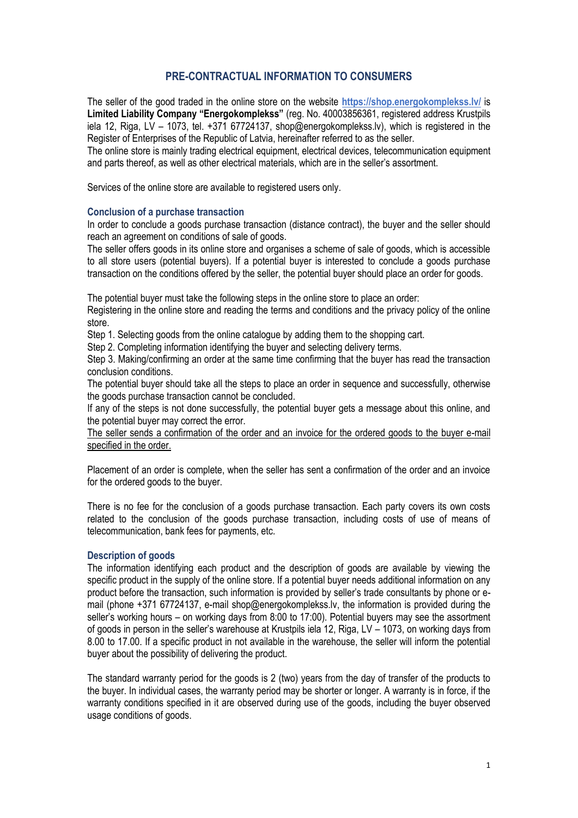# **PRE-CONTRACTUAL INFORMATION TO CONSUMERS**

The seller of the good traded in the online store on the website **https://shop.energokomplekss.lv/** is **Limited Liability Company "Energokomplekss"** (reg. No. 40003856361, registered address Krustpils iela 12, Riga, LV – 1073, tel. +371 67724137, shop@energokomplekss.lv), which is registered in the Register of Enterprises of the Republic of Latvia, hereinafter referred to as the seller.

The online store is mainly trading electrical equipment, electrical devices, telecommunication equipment and parts thereof, as well as other electrical materials, which are in the seller's assortment.

Services of the online store are available to registered users only.

# **Conclusion of a purchase transaction**

In order to conclude a goods purchase transaction (distance contract), the buyer and the seller should reach an agreement on conditions of sale of goods.

The seller offers goods in its online store and organises a scheme of sale of goods, which is accessible to all store users (potential buyers). If a potential buyer is interested to conclude a goods purchase transaction on the conditions offered by the seller, the potential buyer should place an order for goods.

The potential buyer must take the following steps in the online store to place an order:

Registering in the online store and reading the terms and conditions and the privacy policy of the online store.

Step 1. Selecting goods from the online catalogue by adding them to the shopping cart.

Step 2. Completing information identifying the buyer and selecting delivery terms.

Step 3. Making/confirming an order at the same time confirming that the buyer has read the transaction conclusion conditions.

The potential buyer should take all the steps to place an order in sequence and successfully, otherwise the goods purchase transaction cannot be concluded.

If any of the steps is not done successfully, the potential buyer gets a message about this online, and the potential buyer may correct the error.

The seller sends a confirmation of the order and an invoice for the ordered goods to the buyer e-mail specified in the order.

Placement of an order is complete, when the seller has sent a confirmation of the order and an invoice for the ordered goods to the buyer.

There is no fee for the conclusion of a goods purchase transaction. Each party covers its own costs related to the conclusion of the goods purchase transaction, including costs of use of means of telecommunication, bank fees for payments, etc.

# **Description of goods**

The information identifying each product and the description of goods are available by viewing the specific product in the supply of the online store. If a potential buyer needs additional information on any product before the transaction, such information is provided by seller's trade consultants by phone or email (phone +371 67724137, e-mail shop@energokomplekss.lv, the information is provided during the seller's working hours – on working days from 8:00 to 17:00). Potential buyers may see the assortment of goods in person in the seller's warehouse at Krustpils iela 12, Riga, LV – 1073, on working days from 8.00 to 17.00. If a specific product in not available in the warehouse, the seller will inform the potential buyer about the possibility of delivering the product.

The standard warranty period for the goods is 2 (two) years from the day of transfer of the products to the buyer. In individual cases, the warranty period may be shorter or longer. A warranty is in force, if the warranty conditions specified in it are observed during use of the goods, including the buyer observed usage conditions of goods.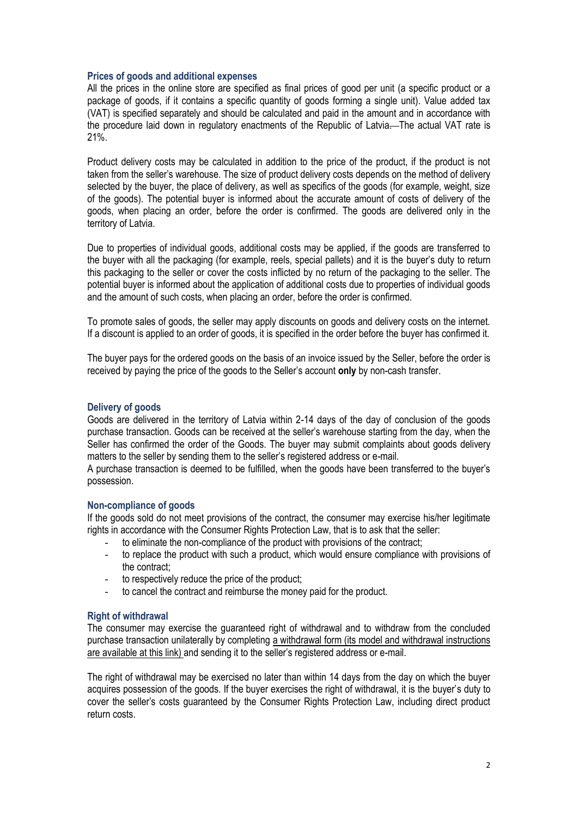#### **Prices of goods and additional expenses**

All the prices in the online store are specified as final prices of good per unit (a specific product or a package of goods, if it contains a specific quantity of goods forming a single unit). Value added tax (VAT) is specified separately and should be calculated and paid in the amount and in accordance with the procedure laid down in regulatory enactments of the Republic of Latvia. The actual VAT rate is 21%.

Product delivery costs may be calculated in addition to the price of the product, if the product is not taken from the seller's warehouse. The size of product delivery costs depends on the method of delivery selected by the buyer, the place of delivery, as well as specifics of the goods (for example, weight, size of the goods). The potential buyer is informed about the accurate amount of costs of delivery of the goods, when placing an order, before the order is confirmed. The goods are delivered only in the territory of Latvia.

Due to properties of individual goods, additional costs may be applied, if the goods are transferred to the buyer with all the packaging (for example, reels, special pallets) and it is the buyer's duty to return this packaging to the seller or cover the costs inflicted by no return of the packaging to the seller. The potential buyer is informed about the application of additional costs due to properties of individual goods and the amount of such costs, when placing an order, before the order is confirmed.

To promote sales of goods, the seller may apply discounts on goods and delivery costs on the internet. If a discount is applied to an order of goods, it is specified in the order before the buyer has confirmed it.

The buyer pays for the ordered goods on the basis of an invoice issued by the Seller, before the order is received by paying the price of the goods to the Seller's account **only** by non-cash transfer.

### **Delivery of goods**

Goods are delivered in the territory of Latvia within 2-14 days of the day of conclusion of the goods purchase transaction. Goods can be received at the seller's warehouse starting from the day, when the Seller has confirmed the order of the Goods. The buyer may submit complaints about goods delivery matters to the seller by sending them to the seller's registered address or e-mail.

A purchase transaction is deemed to be fulfilled, when the goods have been transferred to the buyer's possession.

# **Non-compliance of goods**

If the goods sold do not meet provisions of the contract, the consumer may exercise his/her legitimate rights in accordance with the Consumer Rights Protection Law, that is to ask that the seller:

- to eliminate the non-compliance of the product with provisions of the contract:
- to replace the product with such a product, which would ensure compliance with provisions of the contract;
- to respectively reduce the price of the product;
- to cancel the contract and reimburse the money paid for the product.

#### **Right of withdrawal**

The consumer may exercise the guaranteed right of withdrawal and to withdraw from the concluded purchase transaction unilaterally by completing a withdrawal form (its model and withdrawal instructions are available at this link) and sending it to the seller's registered address or e-mail.

The right of withdrawal may be exercised no later than within 14 days from the day on which the buyer acquires possession of the goods. If the buyer exercises the right of withdrawal, it is the buyer's duty to cover the seller's costs guaranteed by the Consumer Rights Protection Law, including direct product return costs.